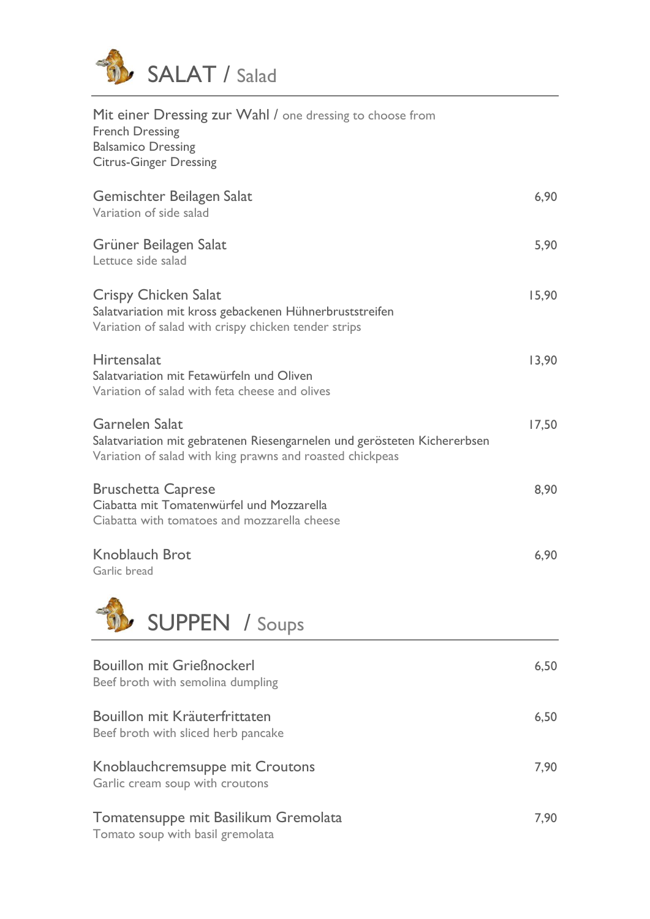

| Mit einer Dressing zur Wahl / one dressing to choose from<br><b>French Dressing</b><br><b>Balsamico Dressing</b><br><b>Citrus-Ginger Dressing</b>       |       |
|---------------------------------------------------------------------------------------------------------------------------------------------------------|-------|
| Gemischter Beilagen Salat<br>Variation of side salad                                                                                                    | 6,90  |
| Grüner Beilagen Salat<br>Lettuce side salad                                                                                                             | 5,90  |
| <b>Crispy Chicken Salat</b><br>Salatvariation mit kross gebackenen Hühnerbruststreifen<br>Variation of salad with crispy chicken tender strips          | 15,90 |
| Hirtensalat<br>Salatvariation mit Fetawürfeln und Oliven<br>Variation of salad with feta cheese and olives                                              | 13,90 |
| Garnelen Salat<br>Salatvariation mit gebratenen Riesengarnelen und gerösteten Kichererbsen<br>Variation of salad with king prawns and roasted chickpeas | 17,50 |
| <b>Bruschetta Caprese</b><br>Ciabatta mit Tomatenwürfel und Mozzarella<br>Ciabatta with tomatoes and mozzarella cheese                                  | 8,90  |
| <b>Knoblauch Brot</b><br>Garlic bread                                                                                                                   | 6,90  |
| <b>SUPPEN</b> / Soups                                                                                                                                   |       |

| <b>Bouillon mit Grießnockerl</b><br>Beef broth with semolina dumpling    | 6,50 |
|--------------------------------------------------------------------------|------|
| Bouillon mit Kräuterfrittaten<br>Beef broth with sliced herb pancake     | 6,50 |
| Knoblauchcremsuppe mit Croutons<br>Garlic cream soup with croutons       | 7,90 |
| Tomatensuppe mit Basilikum Gremolata<br>Tomato soup with basil gremolata | 7,90 |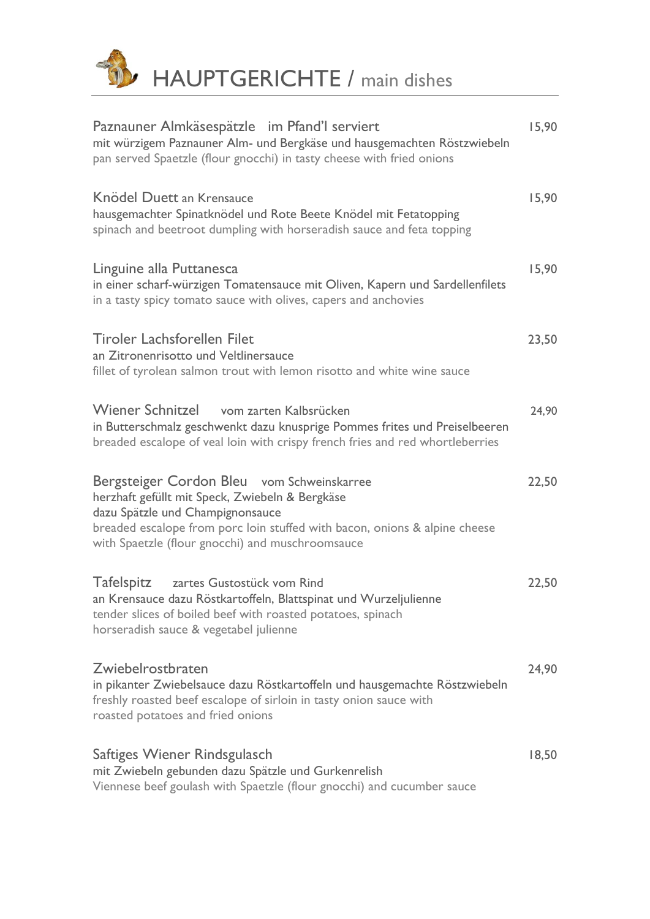

| Paznauner Almkäsespätzle im Pfand'l serviert<br>mit würzigem Paznauner Alm- und Bergkäse und hausgemachten Röstzwiebeln<br>pan served Spaetzle (flour gnocchi) in tasty cheese with fried onions                                                                    | 15,90 |
|---------------------------------------------------------------------------------------------------------------------------------------------------------------------------------------------------------------------------------------------------------------------|-------|
| Knödel Duett an Krensauce<br>hausgemachter Spinatknödel und Rote Beete Knödel mit Fetatopping<br>spinach and beetroot dumpling with horseradish sauce and feta topping                                                                                              | 15,90 |
| Linguine alla Puttanesca<br>in einer scharf-würzigen Tomatensauce mit Oliven, Kapern und Sardellenfilets<br>in a tasty spicy tomato sauce with olives, capers and anchovies                                                                                         | 15,90 |
| <b>Tiroler Lachsforellen Filet</b><br>an Zitronenrisotto und Veltlinersauce<br>fillet of tyrolean salmon trout with lemon risotto and white wine sauce                                                                                                              | 23,50 |
| <b>Wiener Schnitzel</b><br>vom zarten Kalbsrücken<br>in Butterschmalz geschwenkt dazu knusprige Pommes frites und Preiselbeeren<br>breaded escalope of veal loin with crispy french fries and red whortleberries                                                    | 24,90 |
| Bergsteiger Cordon Bleu vom Schweinskarree<br>herzhaft gefüllt mit Speck, Zwiebeln & Bergkäse<br>dazu Spätzle und Champignonsauce<br>breaded escalope from porc loin stuffed with bacon, onions & alpine cheese<br>with Spaetzle (flour gnocchi) and muschroomsauce | 22,50 |
| Tafelspitz zartes Gustostück vom Rind<br>an Krensauce dazu Röstkartoffeln, Blattspinat und Wurzeljulienne<br>tender slices of boiled beef with roasted potatoes, spinach<br>horseradish sauce & vegetabel julienne                                                  | 22,50 |
| Zwiebelrostbraten<br>in pikanter Zwiebelsauce dazu Röstkartoffeln und hausgemachte Röstzwiebeln<br>freshly roasted beef escalope of sirloin in tasty onion sauce with<br>roasted potatoes and fried onions                                                          | 24,90 |
| Saftiges Wiener Rindsgulasch<br>mit Zwiebeln gebunden dazu Spätzle und Gurkenrelish<br>Viennese beef goulash with Spaetzle (flour gnocchi) and cucumber sauce                                                                                                       | 18,50 |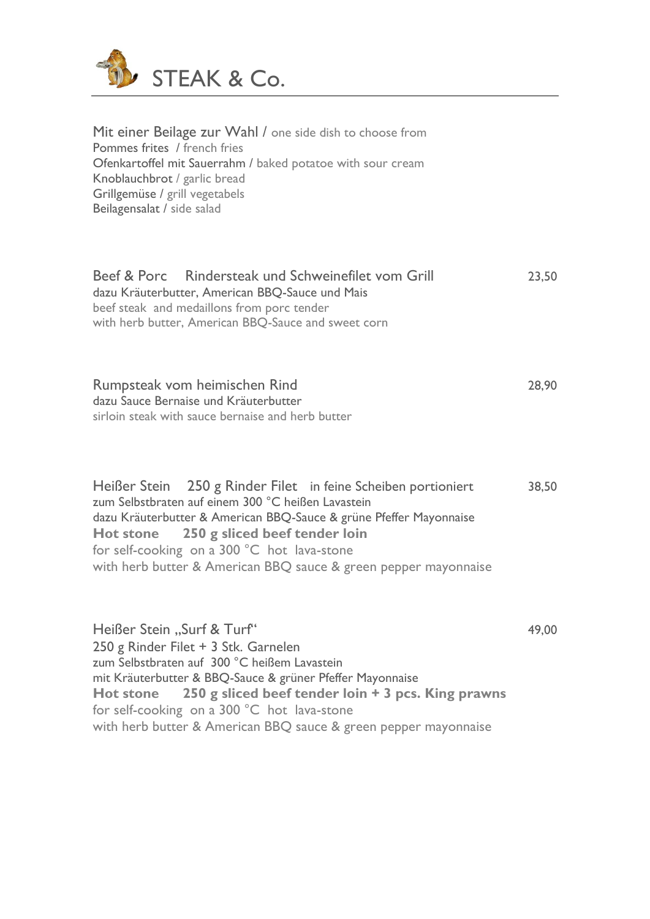

Mit einer Beilage zur Wahl / one side dish to choose from Pommes frites / french fries Ofenkartoffel mit Sauerrahm / baked potatoe with sour cream Knoblauchbrot / garlic bread Grillgemüse / grill vegetabels Beilagensalat / side salad

|                                            | Beef & Porc Rindersteak und Schweinefilet vom Grill | 23.50 |  |  |
|--------------------------------------------|-----------------------------------------------------|-------|--|--|
|                                            | dazu Kräuterbutter, American BBQ-Sauce und Mais     |       |  |  |
| beef steak and medaillons from porc tender |                                                     |       |  |  |
|                                            | with herb butter, American BBQ-Sauce and sweet corn |       |  |  |

Rumpsteak vom heimischen Rind 28,90 dazu Sauce Bernaise und Kräuterbutter sirloin steak with sauce bernaise and herb butter

Heißer Stein 250 g Rinder Filet in feine Scheiben portioniert 38,50 zum Selbstbraten auf einem 300 °C heißen Lavastein dazu Kräuterbutter & American BBQ-Sauce & grüne Pfeffer Mayonnaise **Hot stone 250 g sliced beef tender loin**  for self-cooking on a 300 °C hot lava-stone with herb butter & American BBQ sauce & green pepper mayonnaise

Heißer Stein "Surf & Turf" 49,00 250 g Rinder Filet + 3 Stk. Garnelen zum Selbstbraten auf 300 °C heißem Lavastein mit Kräuterbutter & BBQ-Sauce & grüner Pfeffer Mayonnaise **Hot stone 250 g sliced beef tender loin + 3 pcs. King prawns** for self-cooking on a 300 °C hot lava-stone with herb butter & American BBQ sauce & green pepper mayonnaise